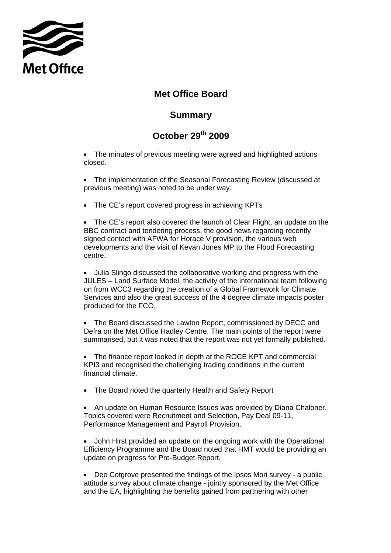

## **Met Office Board**

## **Summary**

## **October 29th 2009**

• The minutes of previous meeting were agreed and highlighted actions closed.

- The implementation of the Seasonal Forecasting Review (discussed at previous meeting) was noted to be under way.
- The CE's report covered progress in achieving KPTs

• The CE's report also covered the launch of Clear Flight, an update on the BBC contract and tendering process, the good news regarding recently signed contact with AFWA for Horace V provision, the various web developments and the visit of Kevan Jones MP to the Flood Forecasting centre.

• Julia Slingo discussed the collaborative working and progress with the JULES – Land Surface Model, the activity of the international team following on from WCC3 regarding the creation of a Global Framework for Climate Services and also the great success of the 4 degree climate impacts poster produced for the FCO.

• The Board discussed the Lawton Report, commissioned by DECC and Defra on the Met Office Hadley Centre. The main points of the report were summarised, but it was noted that the report was not yet formally published.

• The finance report looked in depth at the ROCE KPT and commercial KPI3 and recognised the challenging trading conditions in the current financial climate.

• The Board noted the quarterly Health and Safety Report

• An update on Human Resource Issues was provided by Diana Chaloner. Topics covered were Recruitment and Selection, Pay Deal 09-11, Performance Management and Payroll Provision.

• John Hirst provided an update on the ongoing work with the Operational Efficiency Programme and the Board noted that HMT would be providing an update on progress for Pre-Budget Report.

• Dee Cotgrove presented the findings of the Ipsos Mori survey - a public attitude survey about climate change - jointly sponsored by the Met Office and the EA, highlighting the benefits gained from partnering with other